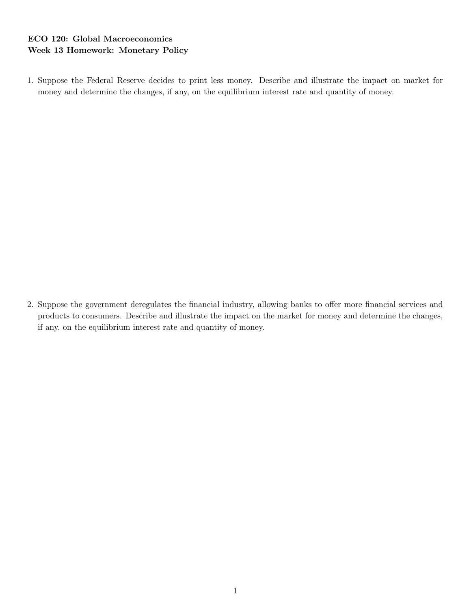## ECO 120: Global Macroeconomics Week 13 Homework: Monetary Policy

1. Suppose the Federal Reserve decides to print less money. Describe and illustrate the impact on market for money and determine the changes, if any, on the equilibrium interest rate and quantity of money.

2. Suppose the government deregulates the financial industry, allowing banks to offer more financial services and products to consumers. Describe and illustrate the impact on the market for money and determine the changes, if any, on the equilibrium interest rate and quantity of money.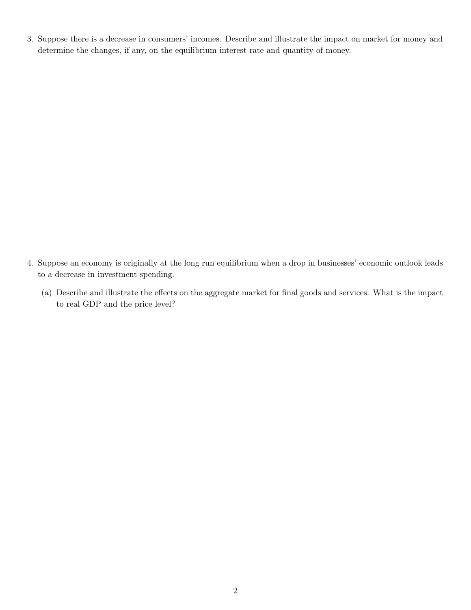3. Suppose there is a decrease in consumers' incomes. Describe and illustrate the impact on market for money and determine the changes, if any, on the equilibrium interest rate and quantity of money.

- 4. Suppose an economy is originally at the long run equilibrium when a drop in businesses' economic outlook leads to a decrease in investment spending.
	- (a) Describe and illustrate the effects on the aggregate market for final goods and services. What is the impact to real GDP and the price level?